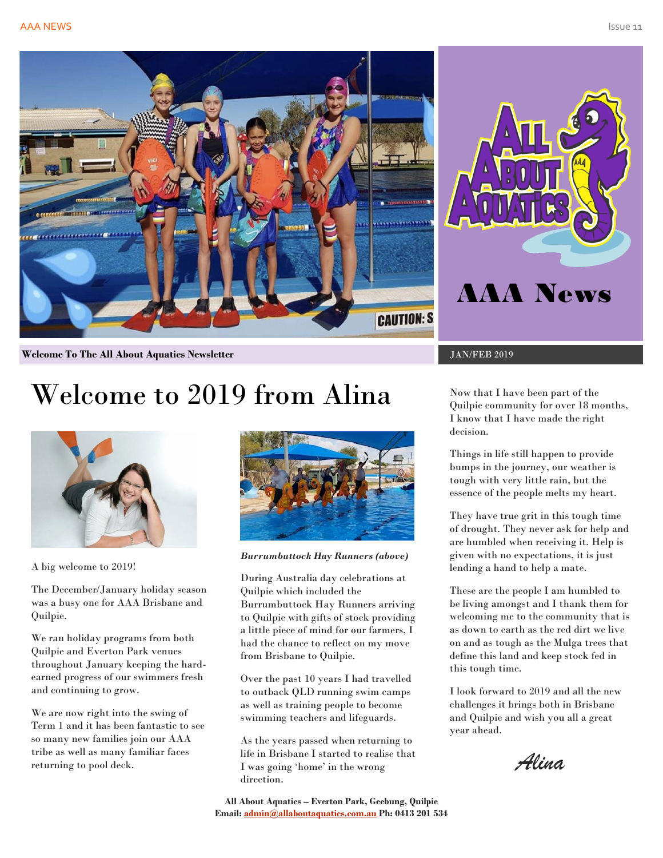



**Welcome To The All About Aquatics Newsletter** JAN/FEB 2019

# Welcome to 2019 from Alina



A big welcome to 2019!

The December/January holiday season was a busy one for AAA Brisbane and Quilpie.

We ran holiday programs from both Quilpie and Everton Park venues throughout January keeping the hardearned progress of our swimmers fresh and continuing to grow.

We are now right into the swing of Term 1 and it has been fantastic to see so many new families join our AAA tribe as well as many familiar faces returning to pool deck.



*Burrumbuttock Hay Runners (above)*

During Australia day celebrations at Quilpie which included the Burrumbuttock Hay Runners arriving to Quilpie with gifts of stock providing a little piece of mind for our farmers, I had the chance to reflect on my move from Brisbane to Quilpie.

Over the past 10 years I had travelled to outback QLD running swim camps as well as training people to become swimming teachers and lifeguards.

As the years passed when returning to life in Brisbane I started to realise that I was going 'home' in the wrong direction.

Now that I have been part of the Quilpie community for over 18 months, I know that I have made the right decision.

Things in life still happen to provide bumps in the journey, our weather is tough with very little rain, but the essence of the people melts my heart.

They have true grit in this tough time of drought. They never ask for help and are humbled when receiving it. Help is given with no expectations, it is just lending a hand to help a mate.

These are the people I am humbled to be living amongst and I thank them for welcoming me to the community that is as down to earth as the red dirt we live on and as tough as the Mulga trees that define this land and keep stock fed in this tough time.

I look forward to 2019 and all the new challenges it brings both in Brisbane and Quilpie and wish you all a great year ahead.

*Alina*

**All About Aquatics – Everton Park, Geebung, Quilpie Email[: admin@allaboutaquatics.com.au](mailto:admin@allaboutaquatics.com.au) Ph: 0413 201 534**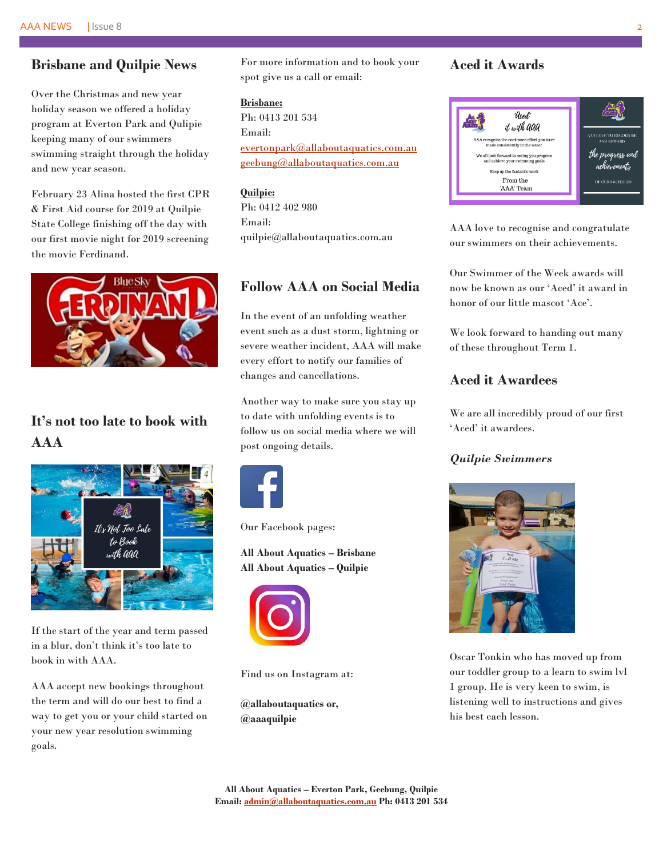## **Brisbane and Quilpie News**

Over the Christmas and new year holiday season we offered a holiday program at Everton Park and Qulipie keeping many of our swimmers swimming straight through the holiday and new year season.

February 23 Alina hosted the first CPR & First Aid course for 2019 at Quilpie State College finishing off the day with our first movie night for 2019 screening the movie Ferdinand.



# **It's not too late to book with AAA**



If the start of the year and term passed in a blur, don't think it's too late to book in with AAA.

AAA accept new bookings throughout the term and will do our best to find a way to get you or your child started on your new year resolution swimming goals.

For more information and to book your spot give us a call or email:

### **Brisbane:**

Ph: 0413 201 534 Email: [evertonpark@allaboutaquatics.com.au](mailto:evertonpark@allaboutaquatics.com.au) geebung@allaboutaquatics.com.au

**Quilpie:** Ph: 0412 402 980 Email: quilpie@allaboutaquatics.com.au

## **Follow AAA on Social Media**

In the event of an unfolding weather event such as a dust storm, lightning or severe weather incident, AAA will make every effort to notify our families of changes and cancellations.

Another way to make sure you stay up to date with unfolding events is to follow us on social media where we will post ongoing details.



Our Facebook pages:

**All About Aquatics – Brisbane All About Aquatics – Quilpie**



Find us on Instagram at:

**@allaboutaquatics or, @aaaquilpie**

## **Aced it Awards**



AAA love to recognise and congratulate our swimmers on their achievements.

Our Swimmer of the Week awards will now be known as our 'Aced' it award in honor of our little mascot 'Ace'.

We look forward to handing out many of these throughout Term 1.

## **Aced it Awardees**

We are all incredibly proud of our first 'Aced' it awardees.

## *Quilpie Swimmers*



Oscar Tonkin who has moved up from our toddler group to a learn to swim lvl 1 group. He is very keen to swim, is listening well to instructions and gives his best each lesson.